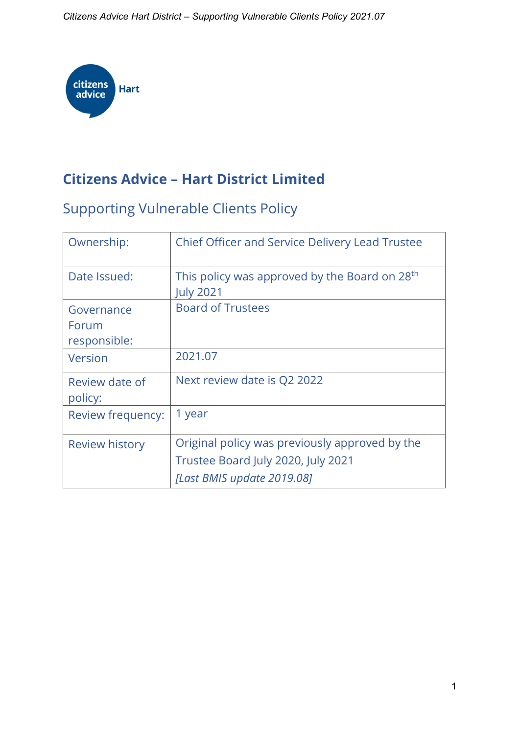*Citizens Advice Hart District – Supporting Vulnerable Clients Policy 2021.07*



# **Citizens Advice – Hart District Limited**

# Supporting Vulnerable Clients Policy

| Ownership:                          | <b>Chief Officer and Service Delivery Lead Trustee</b>                                                             |
|-------------------------------------|--------------------------------------------------------------------------------------------------------------------|
| Date Issued:                        | This policy was approved by the Board on 28 <sup>th</sup><br><b>July 2021</b>                                      |
| Governance<br>Forum<br>responsible: | <b>Board of Trustees</b>                                                                                           |
| Version                             | 2021.07                                                                                                            |
| Review date of<br>policy:           | Next review date is Q2 2022                                                                                        |
| Review frequency:                   | 1 year                                                                                                             |
| <b>Review history</b>               | Original policy was previously approved by the<br>Trustee Board July 2020, July 2021<br>[Last BMIS update 2019.08] |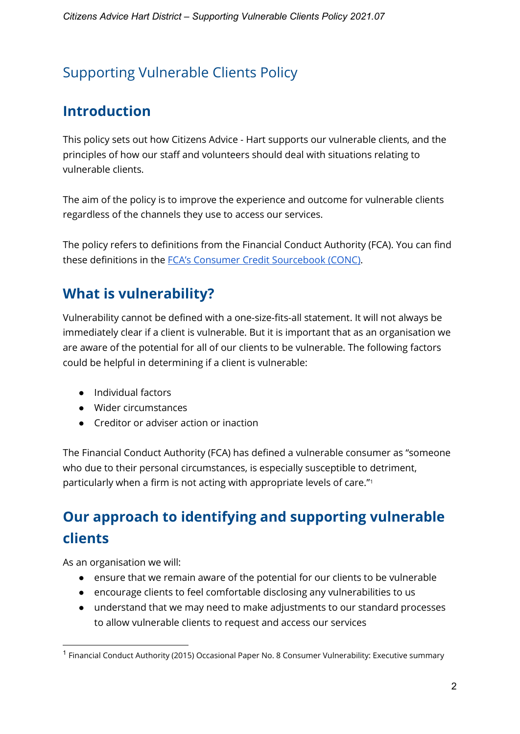# Supporting Vulnerable Clients Policy

## **Introduction**

This policy sets out how Citizens Advice - Hart supports our vulnerable clients, and the principles of how our staff and volunteers should deal with situations relating to vulnerable clients.

The aim of the policy is to improve the experience and outcome for vulnerable clients regardless of the channels they use to access our services.

The policy refers to definitions from the Financial Conduct Authority (FCA). You can find these definitions in the [FCA's Consumer Credit Sourcebook \(CONC\).](https://www.handbook.fca.org.uk/handbook/CONC.pdf)

## **What is vulnerability?**

Vulnerability cannot be defined with a one-size-fits-all statement. It will not always be immediately clear if a client is vulnerable. But it is important that as an organisation we are aware of the potential for all of our clients to be vulnerable. The following factors could be helpful in determining if a client is vulnerable:

- Individual factors
- Wider circumstances
- Creditor or adviser action or inaction

The Financial Conduct Authority (FCA) has defined a vulnerable consumer as "someone who due to their personal circumstances, is especially susceptible to detriment, particularly when a firm is not acting with appropriate levels of care."[1](#page-1-0)

# **Our approach to identifying and supporting vulnerable clients**

As an organisation we will:

- ensure that we remain aware of the potential for our clients to be vulnerable
- encourage clients to feel comfortable disclosing any vulnerabilities to us
- understand that we may need to make adjustments to our standard processes to allow vulnerable clients to request and access our services

<span id="page-1-0"></span> $1$  Financial Conduct Authority (2015) Occasional Paper No. 8 Consumer Vulnerability: Executive summary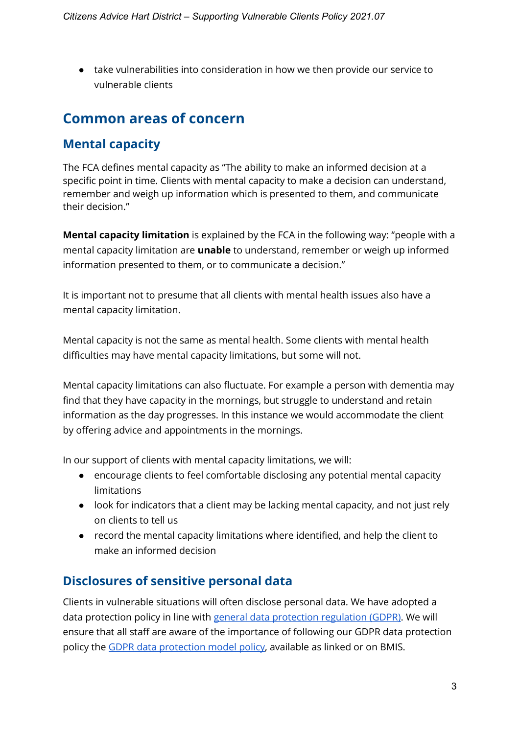● take vulnerabilities into consideration in how we then provide our service to vulnerable clients

## **Common areas of concern**

## **Mental capacity**

The FCA defines mental capacity as "The ability to make an informed decision at a specific point in time. Clients with mental capacity to make a decision can understand, remember and weigh up information which is presented to them, and communicate their decision."

**Mental capacity limitation** is explained by the FCA in the following way: "people with a mental capacity limitation are **unable** to understand, remember or weigh up informed information presented to them, or to communicate a decision."

It is important not to presume that all clients with mental health issues also have a mental capacity limitation.

Mental capacity is not the same as mental health. Some clients with mental health difficulties may have mental capacity limitations, but some will not.

Mental capacity limitations can also fluctuate. For example a person with dementia may find that they have capacity in the mornings, but struggle to understand and retain information as the day progresses. In this instance we would accommodate the client by offering advice and appointments in the mornings.

In our support of clients with mental capacity limitations, we will:

- encourage clients to feel comfortable disclosing any potential mental capacity limitations
- look for indicators that a client may be lacking mental capacity, and not just rely on clients to tell us
- record the mental capacity limitations where identified, and help the client to make an informed decision

## **Disclosures of sensitive personal data**

Clients in vulnerable situations will often disclose personal data. We have adopted a data protection policy in line with [general data protection regulation \(GDPR\).](https://www.citizensadvice.org.uk/bmis/Back-office/Information-assurance-and-data-protection/gdpr1/gdpr-overview/) We will ensure that all staff are aware of the importance of following our GDPR data protection policy the [GDPR data protection model policy,](https://docs.google.com/document/d/1QrysC-t78Dw7mLH3S_xQuNmKAuZBExI-n0zrdB8bR7I/edit) available as linked or on BMIS.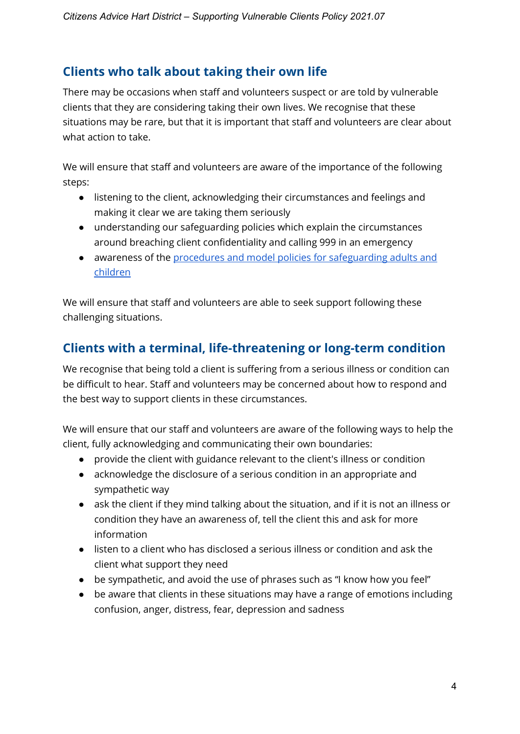#### **Clients who talk about taking their own life**

There may be occasions when staff and volunteers suspect or are told by vulnerable clients that they are considering taking their own lives. We recognise that these situations may be rare, but that it is important that staff and volunteers are clear about what action to take.

We will ensure that staff and volunteers are aware of the importance of the following steps:

- listening to the client, acknowledging their circumstances and feelings and making it clear we are taking them seriously
- understanding our safeguarding policies which explain the circumstances around breaching client confidentiality and calling 999 in an emergency
- awareness of the [procedures and model policies for safeguarding adults and](https://www.citizensadvice.org.uk/bmis/Client-services/Client-protection-and-confidentiality/confidentiality-policy1/supporting-vulnerable-clients/)  [children](https://www.citizensadvice.org.uk/bmis/Client-services/Client-protection-and-confidentiality/confidentiality-policy1/supporting-vulnerable-clients/)

We will ensure that staff and volunteers are able to seek support following these challenging situations.

### **Clients with a terminal, life-threatening or long-term condition**

We recognise that being told a client is suffering from a serious illness or condition can be difficult to hear. Staff and volunteers may be concerned about how to respond and the best way to support clients in these circumstances.

We will ensure that our staff and volunteers are aware of the following ways to help the client, fully acknowledging and communicating their own boundaries:

- provide the client with guidance relevant to the client's illness or condition
- acknowledge the disclosure of a serious condition in an appropriate and sympathetic way
- ask the client if they mind talking about the situation, and if it is not an illness or condition they have an awareness of, tell the client this and ask for more information
- listen to a client who has disclosed a serious illness or condition and ask the client what support they need
- be sympathetic, and avoid the use of phrases such as "I know how you feel"
- be aware that clients in these situations may have a range of emotions including confusion, anger, distress, fear, depression and sadness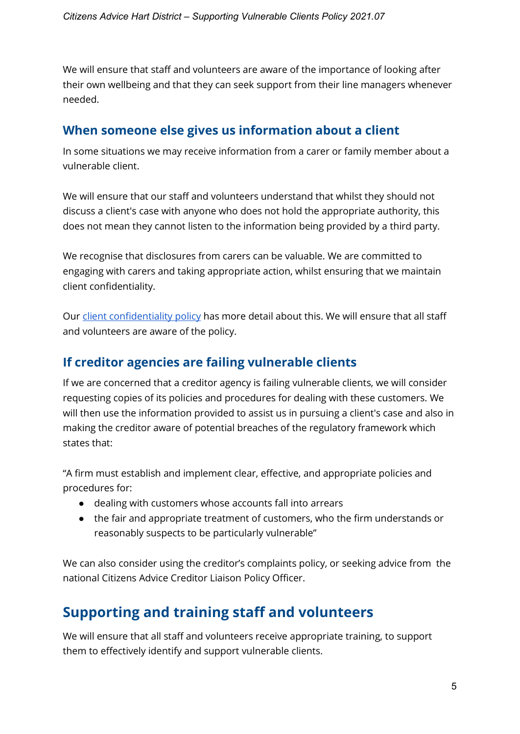We will ensure that staff and volunteers are aware of the importance of looking after their own wellbeing and that they can seek support from their line managers whenever needed.

#### **When someone else gives us information about a client**

In some situations we may receive information from a carer or family member about a vulnerable client.

We will ensure that our staff and volunteers understand that whilst they should not discuss a client's case with anyone who does not hold the appropriate authority, this does not mean they cannot listen to the information being provided by a third party.

We recognise that disclosures from carers can be valuable. We are committed to engaging with carers and taking appropriate action, whilst ensuring that we maintain client confidentiality.

Our [client confidentiality policy](https://www.citizensadvice.org.uk/bmis/Client-services/Client-protection-and-confidentiality/confidentiality-policy1/) has more detail about this. We will ensure that all staff and volunteers are aware of the policy.

#### **If creditor agencies are failing vulnerable clients**

If we are concerned that a creditor agency is failing vulnerable clients, we will consider requesting copies of its policies and procedures for dealing with these customers. We will then use the information provided to assist us in pursuing a client's case and also in making the creditor aware of potential breaches of the regulatory framework which states that:

"A firm must establish and implement clear, effective, and appropriate policies and procedures for:

- dealing with customers whose accounts fall into arrears
- the fair and appropriate treatment of customers, who the firm understands or reasonably suspects to be particularly vulnerable"

We can also consider using the creditor's complaints policy, or seeking advice from the national Citizens Advice Creditor Liaison Policy Officer.

# **Supporting and training staff and volunteers**

We will ensure that all staff and volunteers receive appropriate training, to support them to effectively identify and support vulnerable clients.